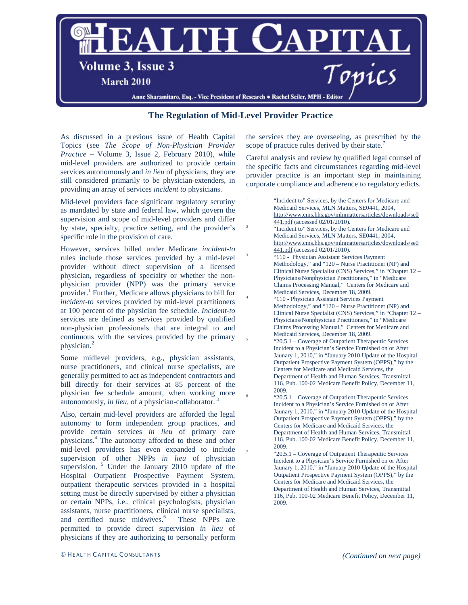

## **The Regulation of Mid-Level Provider Practice**

As discussed in a previous issue of Health Capital Topics (see *The Scope of Non-Physician Provider Practice* – Volume 3, Issue 2, February 2010), while mid-level providers are authorized to provide certain services autonomously and *in lieu* of physicians, they are still considered primarily to be physician-extenders, in providing an array of services *incident to* physicians.

Mid-level providers face significant regulatory scrutiny as mandated by state and federal law, which govern the supervision and scope of mid-level providers and differ by state, specialty, practice setting, and the provider's specific role in the provision of care.

However, services billed under Medicare *incident-to* rules include those services provided by a mid-level provider without direct supervision of a licensed physician, regardless of specialty or whether the nonphysician provider (NPP) was the primary service provider.1 Further, Medicare allows physicians to bill for *incident-to* services provided by mid-level practitioners at 100 percent of the physician fee schedule. *Incident-to* services are defined as services provided by qualified non-physician professionals that are integral to and continuous with the services provided by the primary physician.<sup>2</sup>

Some midlevel providers, e.g., physician assistants, nurse practitioners, and clinical nurse specialists, are generally permitted to act as independent contractors and bill directly for their services at 85 percent of the physician fee schedule amount, when working more autonomously, *in lieu*, of a physician-collaborator.

Also, certain mid-level providers are afforded the legal autonomy to form independent group practices, and provide certain services *in lieu* of primary care physicians.<sup>4</sup> The autonomy afforded to these and other mid-level providers has even expanded to include supervision of other NPPs *in lieu* of physician supervision.<sup>5</sup> Under the January 2010 update of the Hospital Outpatient Prospective Payment System, outpatient therapeutic services provided in a hospital setting must be directly supervised by either a physician or certain NPPs, i.e., clinical psychologists, physician assistants, nurse practitioners, clinical nurse specialists, and certified nurse midwives.<sup>6</sup> These NPPs are permitted to provide direct supervision *in lieu* of physicians if they are authorizing to personally perform

the services they are overseeing, as prescribed by the scope of practice rules derived by their state.<sup>7</sup>

Careful analysis and review by qualified legal counsel of the specific facts and circumstances regarding mid-level provider practice is an important step in maintaining corporate compliance and adherence to regulatory edicts.

"Incident to" Services, by the Centers for Medicare and Medicaid Services, MLN Matters, SE0441, 2004, [http://www.cms.hhs.gov/mlnmattersarticles/downloads/se0](http://www.cms.hhs.gov/mlnmattersarticles/downloads/se0441.pdf) [441.pdf](http://www.cms.hhs.gov/mlnmattersarticles/downloads/se0441.pdf) (accessed 02/01/2010). "Incident to" Services, by the Centers for Medicare and Medicaid Services, MLN Matters, SE0441, 2004, [http://www.cms.hhs.gov/mlnmattersarticles/downloads/se0](http://www.cms.hhs.gov/mlnmattersarticles/downloads/se0441.pdf)<br>441.pdf (accessed 02/01/2010). "110 - Physician Assistant Services Payment Methodology," and "120 – Nurse Practitioner (NP) and Clinical Nurse Specialist (CNS) Services," in "Chapter 12 – Physicians/Nonphysician Practitioners," in "Medicare Claims Processing Manual," Centers for Medicare and Medicaid Services, December 18, 2009.<br>"110 - Physician Assistant Services Payment Methodology," and "120 – Nurse Practitioner (NP) and Clinical Nurse Specialist (CNS) Services," in "Chapter 12 – Physicians/Nonphysician Practitioners," in "Medicare Claims Processing Manual," Centers for Medicare and Medicaid Services, December 18, 2009.<br>"20.5.1 – Coverage of Outpatient Therapeutic Services Incident to a Physician's Service Furnished on or After Jaunary 1, 2010," in "January 2010 Update of the Hospital Outpatient Prospective Payment System (OPPS)," by the Centers for Medicare and Medicaid Services, the Department of Health and Human Services, Transmittal 116, Pub. 100-02 Medicare Benefit Policy, December 11, 2009. <sup>6</sup> "20.5.1 – Coverage of Outpatient Therapeutic Services Incident to a Physician's Service Furnished on or After Jaunary 1, 2010," in "January 2010 Update of the Hospital Outpatient Prospective Payment System (OPPS)," by the Centers for Medicare and Medicaid Services, the Department of Health and Human Services, Transmittal 116, Pub. 100-02 Medicare Benefit Policy, December 11, 2009. "20.5.1 – Coverage of Outpatient Therapeutic Services

Incident to a Physician's Service Furnished on or After Jaunary 1, 2010," in "January 2010 Update of the Hospital Outpatient Prospective Payment System (OPPS)," by the Centers for Medicare and Medicaid Services, the Department of Health and Human Services, Transmittal 116, Pub. 100-02 Medicare Benefit Policy, December 11, 2009.